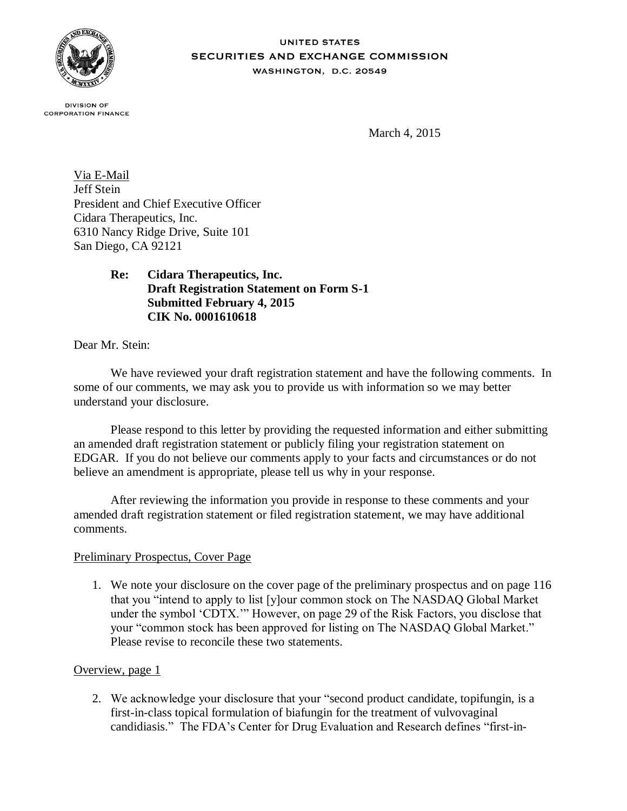

**UNITED STATES** SECURITIES AND EXCHANGE COMMISSION WASHINGTON, D.C. 20549

**DIVISION OF CORPORATION FINANCE** 

March 4, 2015

Via E-Mail Jeff Stein President and Chief Executive Officer Cidara Therapeutics, Inc. 6310 Nancy Ridge Drive, Suite 101 San Diego, CA 92121

> **Re: Cidara Therapeutics, Inc. Draft Registration Statement on Form S-1 Submitted February 4, 2015 CIK No. 0001610618**

Dear Mr. Stein:

We have reviewed your draft registration statement and have the following comments. In some of our comments, we may ask you to provide us with information so we may better understand your disclosure.

Please respond to this letter by providing the requested information and either submitting an amended draft registration statement or publicly filing your registration statement on EDGAR. If you do not believe our comments apply to your facts and circumstances or do not believe an amendment is appropriate, please tell us why in your response.

After reviewing the information you provide in response to these comments and your amended draft registration statement or filed registration statement, we may have additional comments.

## Preliminary Prospectus, Cover Page

1. We note your disclosure on the cover page of the preliminary prospectus and on page 116 that you "intend to apply to list [y]our common stock on The NASDAQ Global Market under the symbol 'CDTX.'" However, on page 29 of the Risk Factors, you disclose that your "common stock has been approved for listing on The NASDAQ Global Market." Please revise to reconcile these two statements.

## Overview, page 1

2. We acknowledge your disclosure that your "second product candidate, topifungin, is a first-in-class topical formulation of biafungin for the treatment of vulvovaginal candidiasis." The FDA's Center for Drug Evaluation and Research defines "first-in-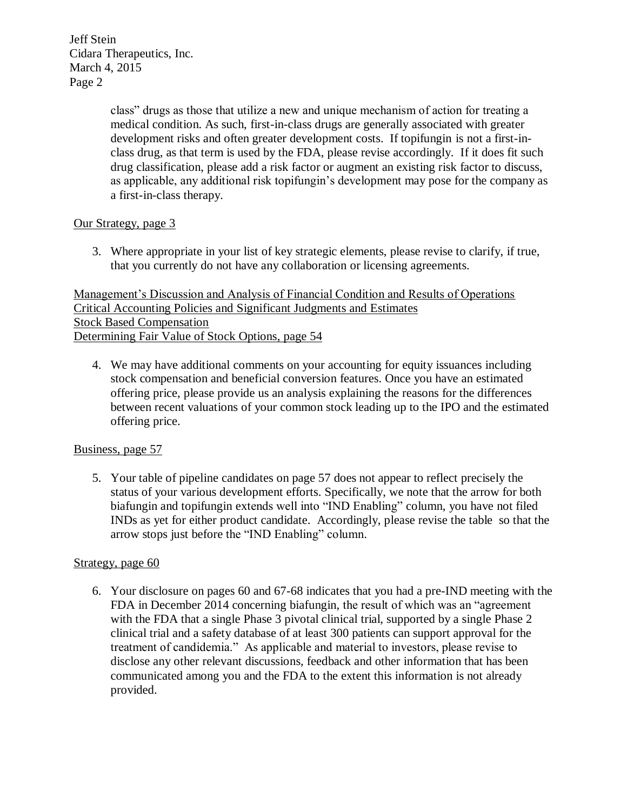> class" drugs as those that utilize a new and unique mechanism of action for treating a medical condition. As such, first-in-class drugs are generally associated with greater development risks and often greater development costs. If topifungin is not a first-inclass drug, as that term is used by the FDA, please revise accordingly. If it does fit such drug classification, please add a risk factor or augment an existing risk factor to discuss, as applicable, any additional risk topifungin's development may pose for the company as a first-in-class therapy.

# Our Strategy, page 3

3. Where appropriate in your list of key strategic elements, please revise to clarify, if true, that you currently do not have any collaboration or licensing agreements.

Management's Discussion and Analysis of Financial Condition and Results of Operations Critical Accounting Policies and Significant Judgments and Estimates Stock Based Compensation Determining Fair Value of Stock Options, page 54

4. We may have additional comments on your accounting for equity issuances including stock compensation and beneficial conversion features. Once you have an estimated offering price, please provide us an analysis explaining the reasons for the differences between recent valuations of your common stock leading up to the IPO and the estimated offering price.

## Business, page 57

5. Your table of pipeline candidates on page 57 does not appear to reflect precisely the status of your various development efforts. Specifically, we note that the arrow for both biafungin and topifungin extends well into "IND Enabling" column, you have not filed INDs as yet for either product candidate. Accordingly, please revise the table so that the arrow stops just before the "IND Enabling" column.

## Strategy, page 60

6. Your disclosure on pages 60 and 67-68 indicates that you had a pre-IND meeting with the FDA in December 2014 concerning biafungin, the result of which was an "agreement with the FDA that a single Phase 3 pivotal clinical trial, supported by a single Phase 2 clinical trial and a safety database of at least 300 patients can support approval for the treatment of candidemia." As applicable and material to investors, please revise to disclose any other relevant discussions, feedback and other information that has been communicated among you and the FDA to the extent this information is not already provided.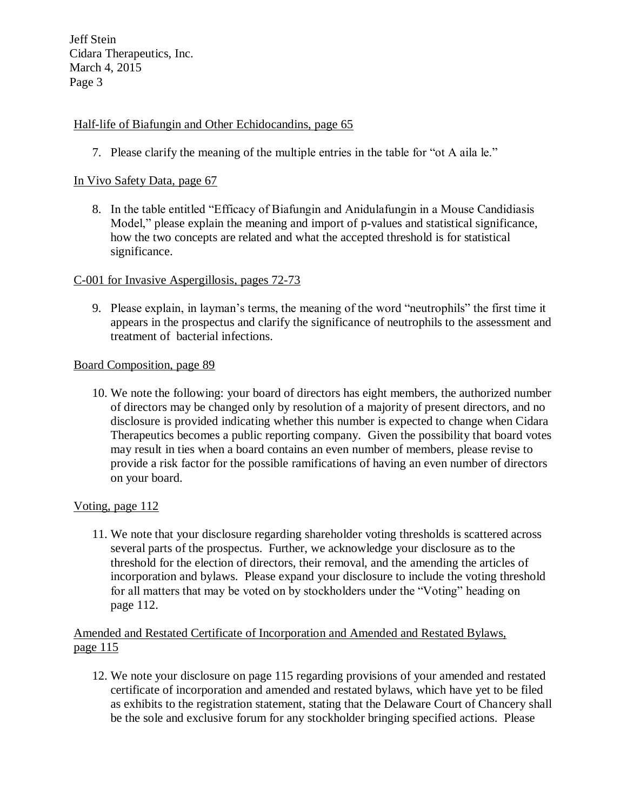## Half-life of Biafungin and Other Echidocandins, page 65

7. Please clarify the meaning of the multiple entries in the table for "ot A aila le."

## In Vivo Safety Data, page 67

8. In the table entitled "Efficacy of Biafungin and Anidulafungin in a Mouse Candidiasis Model," please explain the meaning and import of p-values and statistical significance, how the two concepts are related and what the accepted threshold is for statistical significance.

#### C-001 for Invasive Aspergillosis, pages 72-73

9. Please explain, in layman's terms, the meaning of the word "neutrophils" the first time it appears in the prospectus and clarify the significance of neutrophils to the assessment and treatment of bacterial infections.

#### Board Composition, page 89

10. We note the following: your board of directors has eight members, the authorized number of directors may be changed only by resolution of a majority of present directors, and no disclosure is provided indicating whether this number is expected to change when Cidara Therapeutics becomes a public reporting company. Given the possibility that board votes may result in ties when a board contains an even number of members, please revise to provide a risk factor for the possible ramifications of having an even number of directors on your board.

## Voting, page 112

11. We note that your disclosure regarding shareholder voting thresholds is scattered across several parts of the prospectus. Further, we acknowledge your disclosure as to the threshold for the election of directors, their removal, and the amending the articles of incorporation and bylaws. Please expand your disclosure to include the voting threshold for all matters that may be voted on by stockholders under the "Voting" heading on page 112.

## Amended and Restated Certificate of Incorporation and Amended and Restated Bylaws, page 115

12. We note your disclosure on page 115 regarding provisions of your amended and restated certificate of incorporation and amended and restated bylaws, which have yet to be filed as exhibits to the registration statement, stating that the Delaware Court of Chancery shall be the sole and exclusive forum for any stockholder bringing specified actions. Please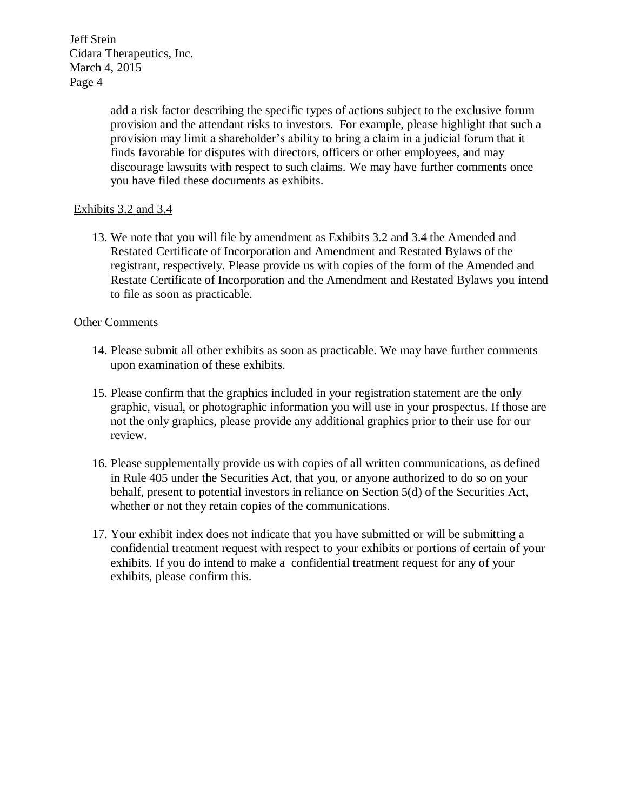> add a risk factor describing the specific types of actions subject to the exclusive forum provision and the attendant risks to investors. For example, please highlight that such a provision may limit a shareholder's ability to bring a claim in a judicial forum that it finds favorable for disputes with directors, officers or other employees, and may discourage lawsuits with respect to such claims. We may have further comments once you have filed these documents as exhibits.

# Exhibits 3.2 and 3.4

13. We note that you will file by amendment as Exhibits 3.2 and 3.4 the Amended and Restated Certificate of Incorporation and Amendment and Restated Bylaws of the registrant, respectively. Please provide us with copies of the form of the Amended and Restate Certificate of Incorporation and the Amendment and Restated Bylaws you intend to file as soon as practicable.

## Other Comments

- 14. Please submit all other exhibits as soon as practicable. We may have further comments upon examination of these exhibits.
- 15. Please confirm that the graphics included in your registration statement are the only graphic, visual, or photographic information you will use in your prospectus. If those are not the only graphics, please provide any additional graphics prior to their use for our review.
- 16. Please supplementally provide us with copies of all written communications, as defined in Rule 405 under the Securities Act, that you, or anyone authorized to do so on your behalf, present to potential investors in reliance on Section 5(d) of the Securities Act, whether or not they retain copies of the communications.
- 17. Your exhibit index does not indicate that you have submitted or will be submitting a confidential treatment request with respect to your exhibits or portions of certain of your exhibits. If you do intend to make a confidential treatment request for any of your exhibits, please confirm this.